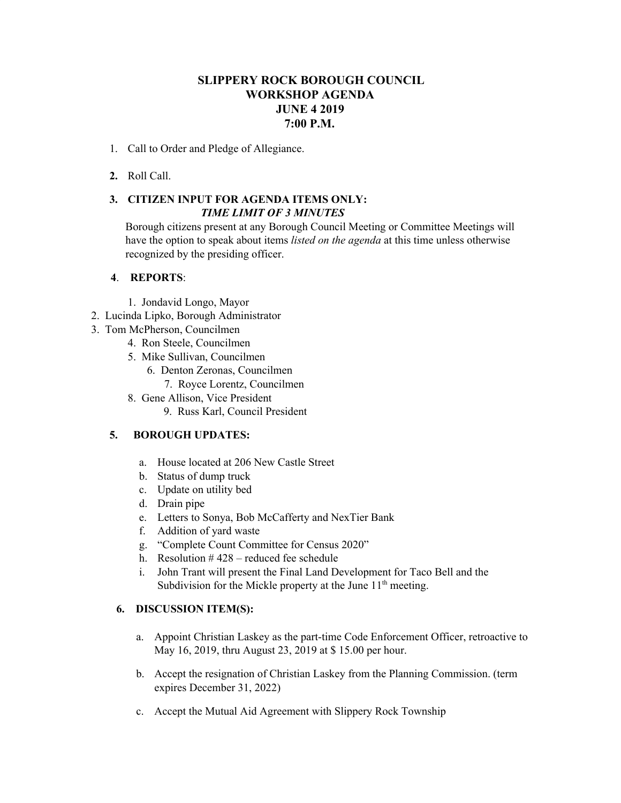## **SLIPPERY ROCK BOROUGH COUNCIL WORKSHOP AGENDA JUNE 4 2019 7:00 P.M.**

- 1. Call to Order and Pledge of Allegiance.
- **2.** Roll Call.

# **3. CITIZEN INPUT FOR AGENDA ITEMS ONLY:** *TIME LIMIT OF 3 MINUTES*

Borough citizens present at any Borough Council Meeting or Committee Meetings will have the option to speak about items *listed on the agenda* at this time unless otherwise recognized by the presiding officer.

### **4**. **REPORTS**:

- 1. Jondavid Longo, Mayor
- 2. Lucinda Lipko, Borough Administrator
- 3. Tom McPherson, Councilmen
	- 4. Ron Steele, Councilmen
	- 5. Mike Sullivan, Councilmen
		- 6. Denton Zeronas, Councilmen 7. Royce Lorentz, Councilmen
	- 8. Gene Allison, Vice President
		- 9. Russ Karl, Council President

## **5. BOROUGH UPDATES:**

- a. House located at 206 New Castle Street
- b. Status of dump truck
- c. Update on utility bed
- d. Drain pipe
- e. Letters to Sonya, Bob McCafferty and NexTier Bank
- f. Addition of yard waste
- g. "Complete Count Committee for Census 2020"
- h. Resolution  $#428$  reduced fee schedule
- i. John Trant will present the Final Land Development for Taco Bell and the Subdivision for the Mickle property at the June  $11<sup>th</sup>$  meeting.

### **6. DISCUSSION ITEM(S):**

- a. Appoint Christian Laskey as the part-time Code Enforcement Officer, retroactive to May 16, 2019, thru August 23, 2019 at \$ 15.00 per hour.
- b. Accept the resignation of Christian Laskey from the Planning Commission. (term expires December 31, 2022)
- c. Accept the Mutual Aid Agreement with Slippery Rock Township